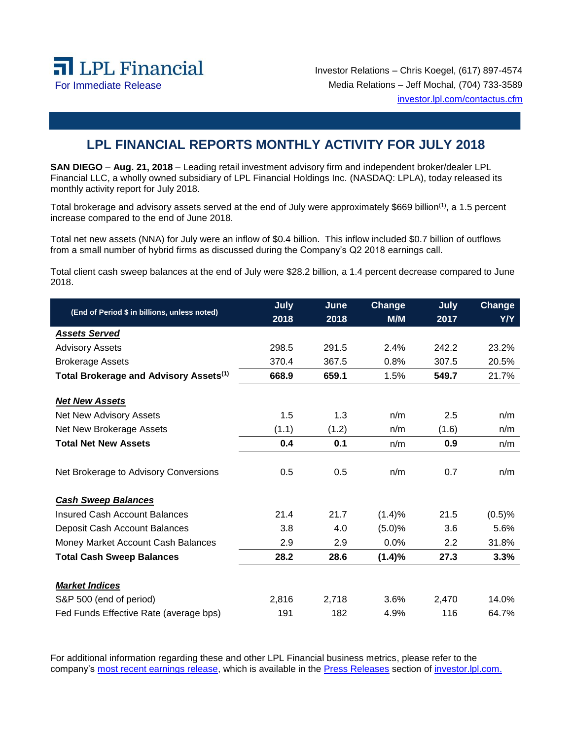

Investor Relations – Chris Koegel, (617) 897-4574 For Immediate Release Media Relations – Jeff Mochal, (704) 733-3589 investor.lpl.com/contactus.cfm

## **LPL FINANCIAL REPORTS MONTHLY ACTIVITY FOR JULY 2018**

**SAN DIEGO** – **Aug. 21, 2018** – Leading retail investment advisory firm and independent broker/dealer LPL Financial LLC, a wholly owned subsidiary of LPL Financial Holdings Inc. (NASDAQ: LPLA), today released its monthly activity report for July 2018.

Total brokerage and advisory assets served at the end of July were approximately \$669 billion(1), a 1.5 percent increase compared to the end of June 2018.

Total net new assets (NNA) for July were an inflow of \$0.4 billion. This inflow included \$0.7 billion of outflows from a small number of hybrid firms as discussed during the Company's Q2 2018 earnings call.

Total client cash sweep balances at the end of July were \$28.2 billion, a 1.4 percent decrease compared to June 2018.

| (End of Period \$ in billions, unless noted)       | July  | June  | Change  | July  | Change |
|----------------------------------------------------|-------|-------|---------|-------|--------|
|                                                    | 2018  | 2018  | M/M     | 2017  | Y/Y    |
| <b>Assets Served</b>                               |       |       |         |       |        |
| <b>Advisory Assets</b>                             | 298.5 | 291.5 | 2.4%    | 242.2 | 23.2%  |
| <b>Brokerage Assets</b>                            | 370.4 | 367.5 | 0.8%    | 307.5 | 20.5%  |
| Total Brokerage and Advisory Assets <sup>(1)</sup> | 668.9 | 659.1 | 1.5%    | 549.7 | 21.7%  |
| <b>Net New Assets</b>                              |       |       |         |       |        |
| Net New Advisory Assets                            | 1.5   | 1.3   | n/m     | 2.5   | n/m    |
| Net New Brokerage Assets                           | (1.1) | (1.2) | n/m     | (1.6) | n/m    |
| <b>Total Net New Assets</b>                        | 0.4   | 0.1   | n/m     | 0.9   | n/m    |
| Net Brokerage to Advisory Conversions              | 0.5   | 0.5   | n/m     | 0.7   | n/m    |
| <b>Cash Sweep Balances</b>                         |       |       |         |       |        |
| <b>Insured Cash Account Balances</b>               | 21.4  | 21.7  | (1.4)%  | 21.5  | (0.5)% |
| Deposit Cash Account Balances                      | 3.8   | 4.0   | (5.0)%  | 3.6   | 5.6%   |
| Money Market Account Cash Balances                 | 2.9   | 2.9   | $0.0\%$ | 2.2   | 31.8%  |
| <b>Total Cash Sweep Balances</b>                   | 28.2  | 28.6  | (1.4)%  | 27.3  | 3.3%   |
| <b>Market Indices</b>                              |       |       |         |       |        |
| S&P 500 (end of period)                            | 2,816 | 2,718 | 3.6%    | 2,470 | 14.0%  |
| Fed Funds Effective Rate (average bps)             | 191   | 182   | 4.9%    | 116   | 64.7%  |

For additional information regarding these and other LPL Financial business metrics, please refer to the company's [most recent earnings release,](https://lplfinancial.lpl.com/news-media/press-releases/lpl-financial-announces-second-quarter-2018-results.html) which is available in the [Press Releases](https://lplfinancial.lpl.com/news-media/press-releases.html) section of [investor.lpl.com.](http://investor.lpl.com/investor-relations)